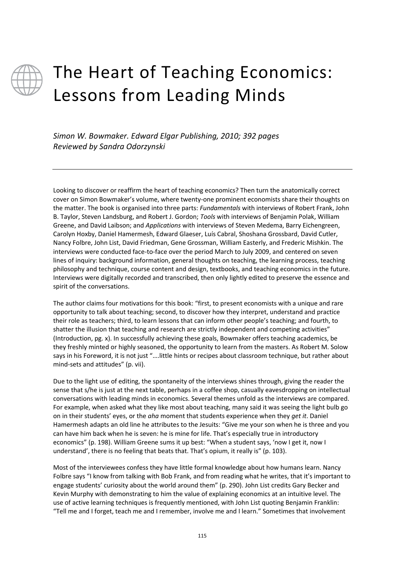

## The Heart of Teaching Economics: Lessons from Leading Minds

*Simon W. Bowmaker. Edward Elgar Publishing, 2010; 392 pages Reviewed by Sandra Odorzynski*

Looking to discover or reaffirm the heart of teaching economics? Then turn the anatomically correct cover on Simon Bowmaker's volume, where twenty-one prominent economists share their thoughts on the matter. The book is organised into three parts: *Fundamentals* with interviews of Robert Frank, John B. Taylor, Steven Landsburg, and Robert J. Gordon; *Tools* with interviews of Benjamin Polak, William Greene, and David Laibson; and *Applications* with interviews of Steven Medema, Barry Eichengreen, Carolyn Hoxby, Daniel Hamermesh, Edward Glaeser, Luís Cabral, Shoshana Grossbard, David Cutler, Nancy Folbre, John List, David Friedman, Gene Grossman, William Easterly, and Frederic Mishkin. The interviews were conducted face-to-face over the period March to July 2009, and centered on seven lines of inquiry: background information, general thoughts on teaching, the learning process, teaching philosophy and technique, course content and design, textbooks, and teaching economics in the future. Interviews were digitally recorded and transcribed, then only lightly edited to preserve the essence and spirit of the conversations.

The author claims four motivations for this book: "first, to present economists with a unique and rare opportunity to talk about teaching; second, to discover how they interpret, understand and practice their role as teachers; third, to learn lessons that can inform other people's teaching; and fourth, to shatter the illusion that teaching and research are strictly independent and competing activities" (Introduction, pg. x). In successfully achieving these goals, Bowmaker offers teaching academics, be they freshly minted or highly seasoned, the opportunity to learn from the masters. As Robert M. Solow says in his Foreword, it is not just "….little hints or recipes about classroom technique, but rather about mind-sets and attitudes" (p. vii).

Due to the light use of editing, the spontaneity of the interviews shines through, giving the reader the sense that s/he is just at the next table, perhaps in a coffee shop, casually eavesdropping on intellectual conversations with leading minds in economics. Several themes unfold as the interviews are compared. For example, when asked what they like most about teaching, many said it was seeing the light bulb go on in their students' eyes, or the *aha* moment that students experience when they *get it*. Daniel Hamermesh adapts an old line he attributes to the Jesuits: "Give me your son when he is three and you can have him back when he is seven: he is mine for life. That's especially true in introductory economics" (p. 198). William Greene sums it up best: "When a student says, 'now I get it, now I understand', there is no feeling that beats that. That's opium, it really is" (p. 103).

Most of the interviewees confess they have little formal knowledge about how humans learn. Nancy Folbre says "I know from talking with Bob Frank, and from reading what he writes, that it's important to engage students' curiosity about the world around them" (p. 290). John List credits Gary Becker and Kevin Murphy with demonstrating to him the value of explaining economics at an intuitive level. The use of active learning techniques is frequently mentioned, with John List quoting Benjamin Franklin: "Tell me and I forget, teach me and I remember, involve me and I learn." Sometimes that involvement